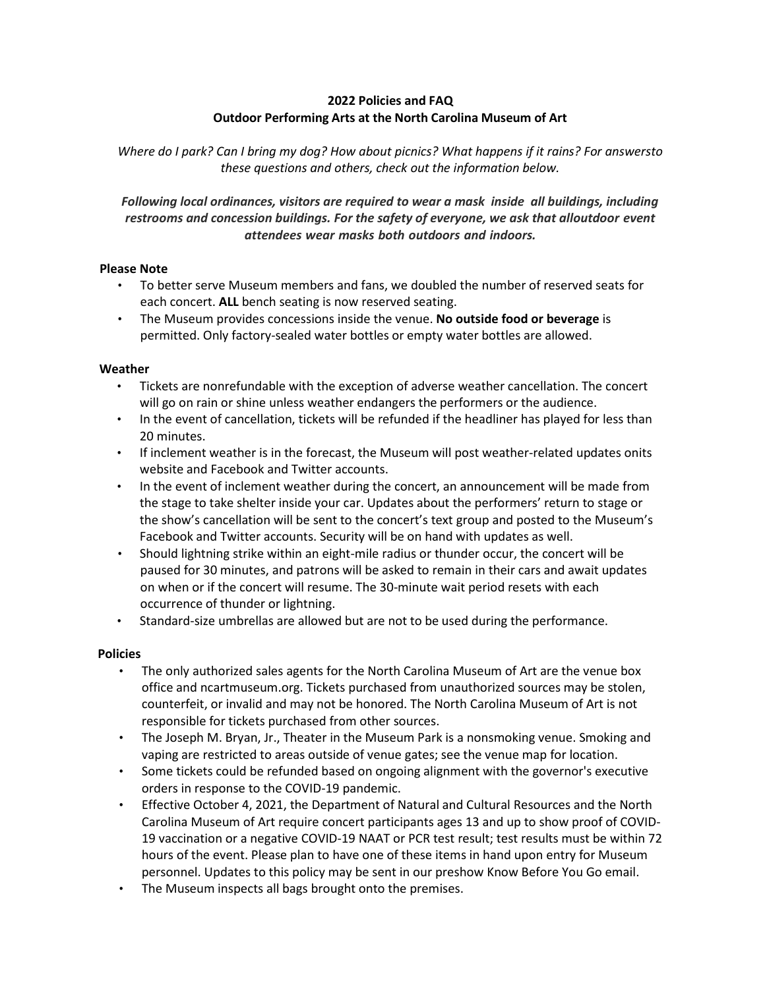# **2022 Policies and FAQ Outdoor Performing Arts at the North Carolina Museum of Art**

*Where do I park? Can I bring my dog? How about picnics? What happens if it rains? For answersto these questions and others, check out the information below.*

*Following local ordinances, visitors are required to wear a mask inside all buildings, including restrooms and concession buildings. For the safety of everyone, we ask that alloutdoor event attendees wear masks both outdoors and indoors.*

#### **Please Note**

- To better serve Museum members and fans, we doubled the number of reserved seats for each concert. **ALL** bench seating is now reserved seating.
- The Museum provides concessions inside the venue. **No outside food or beverage** is permitted. Only factory-sealed water bottles or empty water bottles are allowed.

#### **Weather**

- Tickets are nonrefundable with the exception of adverse weather cancellation. The concert will go on rain or shine unless weather endangers the performers or the audience.
- In the event of cancellation, tickets will be refunded if the headliner has played for less than 20 minutes.
- If inclement weather is in the forecast, the Museum will post weather-related updates onits website and Facebook and Twitter accounts.
- In the event of inclement weather during the concert, an announcement will be made from the stage to take shelter inside your car. Updates about the performers' return to stage or the show's cancellation will be sent to the concert's text group and posted to the Museum's Facebook and Twitter accounts. Security will be on hand with updates as well.
- Should lightning strike within an eight-mile radius or thunder occur, the concert will be paused for 30 minutes, and patrons will be asked to remain in their cars and await updates on when or if the concert will resume. The 30-minute wait period resets with each occurrence of thunder or lightning.
- Standard-size umbrellas are allowed but are not to be used during the performance.

### **Policies**

- The only authorized sales agents for the North Carolina Museum of Art are the venue box office and ncartmuseum.org. Tickets purchased from unauthorized sources may be stolen, counterfeit, or invalid and may not be honored. The North Carolina Museum of Art is not responsible for tickets purchased from other sources.
- The Joseph M. Bryan, Jr., Theater in the Museum Park is a nonsmoking venue. Smoking and vaping are restricted to areas outside of venue gates; see the venue map for location.
- Some tickets could be refunded based on ongoing alignment with the governor's executive orders in response to the COVID-19 pandemic.
- Effective October 4, 2021, the Department of Natural and Cultural Resources and the North Carolina Museum of Art require concert participants ages 13 and up to show proof of COVID-19 vaccination or a negative COVID-19 NAAT or PCR test result; test results must be within 72 hours of the event. Please plan to have one of these items in hand upon entry for Museum personnel. Updates to this policy may be sent in our preshow Know Before You Go email.
- The Museum inspects all bags brought onto the premises.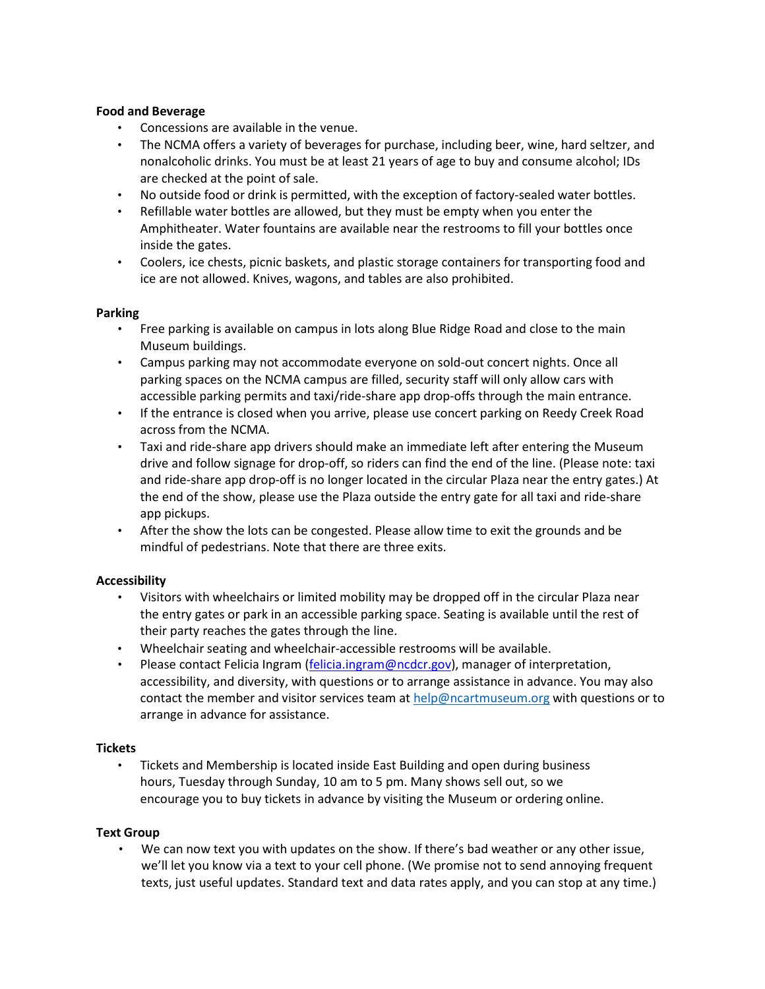### **Food and Beverage**

- Concessions are available in the venue.
- The NCMA offers a variety of beverages for purchase, including beer, wine, hard seltzer, and nonalcoholic drinks. You must be at least 21 years of age to buy and consume alcohol; IDs are checked at the point of sale.
- No outside food or drink is permitted, with the exception of factory-sealed water bottles.
- Refillable water bottles are allowed, but they must be empty when you enter the Amphitheater. Water fountains are available near the restrooms to fill your bottles once inside the gates.
- Coolers, ice chests, picnic baskets, and plastic storage containers for transporting food and ice are not allowed. Knives, wagons, and tables are also prohibited.

#### **Parking**

- Free parking is available on campus in lots along Blue Ridge Road and close to the main Museum buildings.
- Campus parking may not accommodate everyone on sold-out concert nights. Once all parking spaces on the NCMA campus are filled, security staff will only allow cars with accessible parking permits and taxi/ride-share app drop-offs through the main entrance.
- If the entrance is closed when you arrive, please use concert parking on Reedy Creek Road across from the NCMA.
- Taxi and ride-share app drivers should make an immediate left after entering the Museum drive and follow signage for drop-off, so riders can find the end of the line. (Please note: taxi and ride-share app drop-off is no longer located in the circular Plaza near the entry gates.) At the end of the show, please use the Plaza outside the entry gate for all taxi and ride-share app pickups.
- After the show the lots can be congested. Please allow time to exit the grounds and be mindful of pedestrians. Note that there are three exits.

### **Accessibility**

- Visitors with wheelchairs or limited mobility may be dropped off in the circular Plaza near the entry gates or park in an accessible parking space. Seating is available until the rest of their party reaches the gates through the line.
- Wheelchair seating and wheelchair-accessible restrooms will be available.
- Please contact Felicia Ingram [\(felicia.ingram@ncdcr.gov\)](mailto:felicia.ingram@ncdcr.gov), manager of interpretation, accessibility, and diversity, with questions or to arrange assistance in advance. You may also contact the member and visitor services team at [help@ncartmuseum.org](mailto:help@ncartmuseum.org) with questions or to arrange in advance for assistance.

### **Tickets**

• Tickets and Membership is located inside East Building and open during business hours, Tuesday through Sunday, 10 am to 5 pm. Many shows sell out, so we encourage you to buy tickets in advance by visiting the Museum or ordering online.

### **Text Group**

• We can now text you with updates on the show. If there's bad weather or any other issue, we'll let you know via a text to your cell phone. (We promise not to send annoying frequent texts, just useful updates. Standard text and data rates apply, and you can stop at any time.)